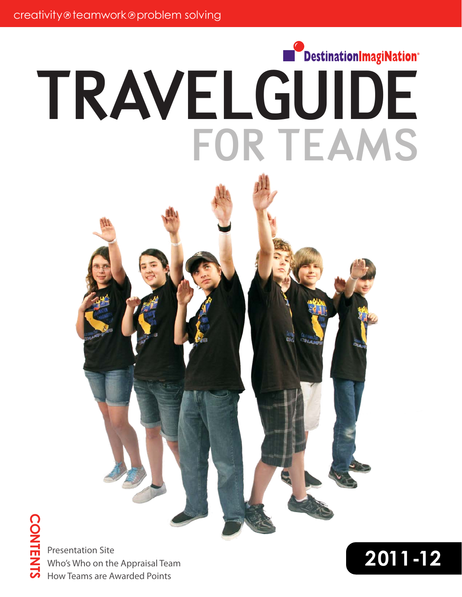# DestinationImagiNation® TRAVELGUIDE FOR TEAMS



**2011-12** Presentation Site Who's Who on the Appraisal Team How Teams are Awarded Points

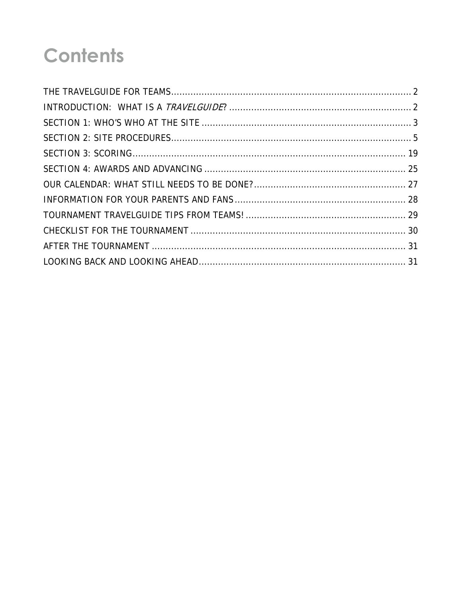## **Contents**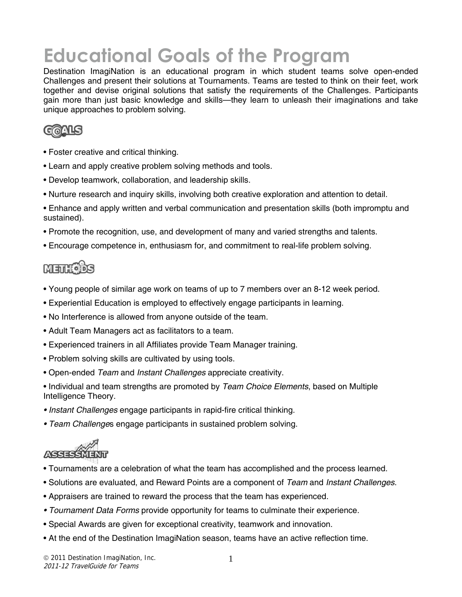## **Educational Goals of the Program**

Destination ImagiNation is an educational program in which student teams solve open-ended Challenges and present their solutions at Tournaments. Teams are tested to think on their feet, work together and devise original solutions that satisfy the requirements of the Challenges. Participants gain more than just basic knowledge and skills—they learn to unleash their imaginations and take unique approaches to problem solving.



- Foster creative and critical thinking.
- Learn and apply creative problem solving methods and tools.
- Develop teamwork, collaboration, and leadership skills.
- Nurture research and inquiry skills, involving both creative exploration and attention to detail.
- Enhance and apply written and verbal communication and presentation skills (both impromptu and sustained).
- Promote the recognition, use, and development of many and varied strengths and talents.
- Encourage competence in, enthusiasm for, and commitment to real-life problem solving.

### **METHIODS**

- Young people of similar age work on teams of up to 7 members over an 8-12 week period.
- Experiential Education is employed to effectively engage participants in learning.
- No Interference is allowed from anyone outside of the team.
- Adult Team Managers act as facilitators to a team.
- Experienced trainers in all Affiliates provide Team Manager training.
- Problem solving skills are cultivated by using tools.
- Open-ended *Team* and *Instant Challenges* appreciate creativity.
- Individual and team strengths are promoted by *Team Choice Elements*, based on Multiple Intelligence Theory.
- *Instant Challenges* engage participants in rapid-fire critical thinking.
- *Team Challenge*s engage participants in sustained problem solving.



- Tournaments are a celebration of what the team has accomplished and the process learned.
- Solutions are evaluated, and Reward Points are a component of *Team* and *Instant Challenges*.
- Appraisers are trained to reward the process that the team has experienced.
- *Tournament Data Forms* provide opportunity for teams to culminate their experience.
- Special Awards are given for exceptional creativity, teamwork and innovation.
- At the end of the Destination ImagiNation season, teams have an active reflection time.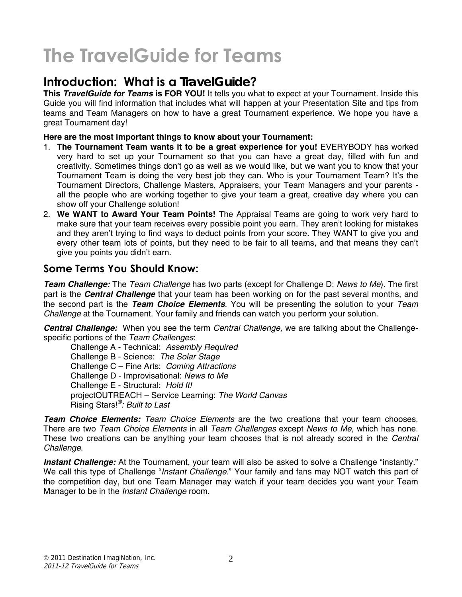## **The TravelGuide for Teams**

### **Introduction: What is a** *TravelGuide***?**

**This** *TravelGuide for Teams* **is FOR YOU!** It tells you what to expect at your Tournament. Inside this Guide you will find information that includes what will happen at your Presentation Site and tips from teams and Team Managers on how to have a great Tournament experience. We hope you have a great Tournament day!

#### **Here are the most important things to know about your Tournament:**

- 1. **The Tournament Team wants it to be a great experience for you!** EVERYBODY has worked very hard to set up your Tournament so that you can have a great day, filled with fun and creativity. Sometimes things don't go as well as we would like, but we want you to know that your Tournament Team is doing the very best job they can. Who is your Tournament Team? It's the Tournament Directors, Challenge Masters, Appraisers, your Team Managers and your parents all the people who are working together to give your team a great, creative day where you can show off your Challenge solution!
- 2. **We WANT to Award Your Team Points!** The Appraisal Teams are going to work very hard to make sure that your team receives every possible point you earn. They aren't looking for mistakes and they aren't trying to find ways to deduct points from your score. They WANT to give you and every other team lots of points, but they need to be fair to all teams, and that means they can't give you points you didn't earn.

#### **Some Terms You Should Know:**

*Team Challenge:* The *Team Challenge* has two parts (except for Challenge D: *News to Me*). The first part is the *Central Challenge* that your team has been working on for the past several months, and the second part is the *Team Choice Elements*. You will be presenting the solution to your *Team Challenge* at the Tournament. Your family and friends can watch you perform your solution.

*Central Challenge:* When you see the term *Central Challenge,* we are talking about the Challengespecific portions of the *Team Challenges*:

Challenge A - Technical: *Assembly Required* Challenge B - Science: *The Solar Stage* Challenge C – Fine Arts: *Coming Attractions* Challenge D - Improvisational: *News to Me*  Challenge E - Structural: *Hold It!*  projectOUTREACH – Service Learning: *The World Canvas*  Rising Stars!*®: Built to Last*

*Team Choice Elements: Team Choice Elements* are the two creations that your team chooses. There are two *Team Choice Elements* in all *Team Challenges* except *News to Me,* which has none. These two creations can be anything your team chooses that is not already scored in the *Central Challenge*.

Instant Challenge: At the Tournament, your team will also be asked to solve a Challenge "instantly." We call this type of Challenge "*Instant Challenge*." Your family and fans may NOT watch this part of the competition day, but one Team Manager may watch if your team decides you want your Team Manager to be in the *Instant Challenge* room.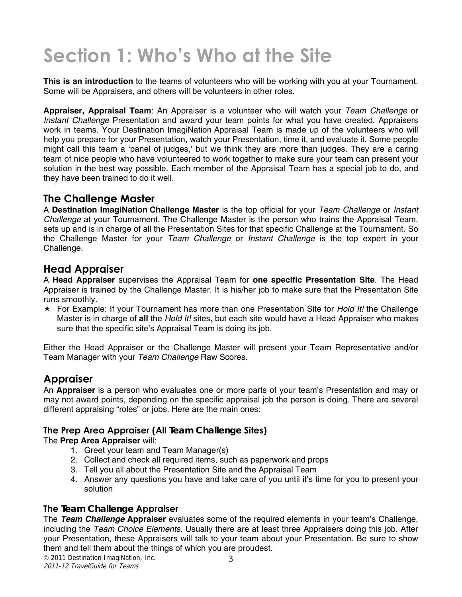## **Section 1: Who's Who at the Site**

**This is an introduction** to the teams of volunteers who will be working with you at your Tournament. Some will be Appraisers, and others will be volunteers in other roles.

**Appraiser, Appraisal Team**: An Appraiser is a volunteer who will watch your *Team Challenge* or *Instant Challenge* Presentation and award your team points for what you have created. Appraisers work in teams. Your Destination ImagiNation Appraisal Team is made up of the volunteers who will help you prepare for your Presentation, watch your Presentation, time it, and evaluate it. Some people might call this team a 'panel of judges,' but we think they are more than judges. They are a caring team of nice people who have volunteered to work together to make sure your team can present your solution in the best way possible. Each member of the Appraisal Team has a special job to do, and they have been trained to do it well.

#### **The Challenge Master**

A **Destination ImagiNation Challenge Master** is the top official for your *Team Challenge* or *Instant Challenge* at your Tournament. The Challenge Master is the person who trains the Appraisal Team, sets up and is in charge of all the Presentation Sites for that specific Challenge at the Tournament. So the Challenge Master for your *Team Challenge* or *Instant Challenge* is the top expert in your Challenge.

#### **Head Appraiser**

A **Head Appraiser** supervises the Appraisal Team for **one specific Presentation Site**. The Head Appraiser is trained by the Challenge Master. It is his/her job to make sure that the Presentation Site runs smoothly.

 For Example: If your Tournament has more than one Presentation Site for *Hold It!* the Challenge Master is in charge of **all** the *Hold It!* sites, but each site would have a Head Appraiser who makes sure that the specific site's Appraisal Team is doing its job.

Either the Head Appraiser or the Challenge Master will present your Team Representative and/or Team Manager with your *Team Challenge* Raw Scores.

#### **Appraiser**

An **Appraiser** is a person who evaluates one or more parts of your team's Presentation and may or may not award points, depending on the specific appraisal job the person is doing. There are several different appraising "roles" or jobs. Here are the main ones:

#### **The Prep Area Appraiser (All** *Team Challenge* **Sites)**

#### The **Prep Area Appraiser** will:

- 1. Greet your team and Team Manager(s)
- 2. Collect and check all required items, such as paperwork and props
- 3. Tell you all about the Presentation Site and the Appraisal Team
- 4. Answer any questions you have and take care of you until it's time for you to present your solution

#### **The** *Team Challenge* **Appraiser**

The *Team Challenge* **Appraiser** evaluates some of the required elements in your team's Challenge, including the *Team Choice Elements*. Usually there are at least three Appraisers doing this job. After your Presentation, these Appraisers will talk to your team about your Presentation. Be sure to show them and tell them about the things of which you are proudest.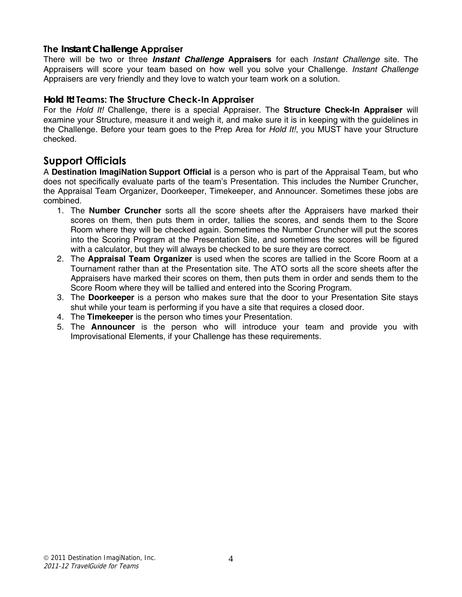#### **The** *Instant Challenge* **Appraiser**

There will be two or three *Instant Challenge* **Appraisers** for each *Instant Challenge* site. The Appraisers will score your team based on how well you solve your Challenge. *Instant Challenge* Appraisers are very friendly and they love to watch your team work on a solution.

#### *Hold It!* **Teams: The Structure Check-In Appraiser**

For the *Hold It!* Challenge, there is a special Appraiser. The **Structure Check-In Appraiser** will examine your Structure, measure it and weigh it, and make sure it is in keeping with the guidelines in the Challenge. Before your team goes to the Prep Area for *Hold It!*, you MUST have your Structure checked.

#### **Support Officials**

A **Destination ImagiNation Support Official** is a person who is part of the Appraisal Team, but who does not specifically evaluate parts of the team's Presentation. This includes the Number Cruncher, the Appraisal Team Organizer, Doorkeeper, Timekeeper, and Announcer. Sometimes these jobs are combined.

- 1. The **Number Cruncher** sorts all the score sheets after the Appraisers have marked their scores on them, then puts them in order, tallies the scores, and sends them to the Score Room where they will be checked again. Sometimes the Number Cruncher will put the scores into the Scoring Program at the Presentation Site, and sometimes the scores will be figured with a calculator, but they will always be checked to be sure they are correct.
- 2. The **Appraisal Team Organizer** is used when the scores are tallied in the Score Room at a Tournament rather than at the Presentation site. The ATO sorts all the score sheets after the Appraisers have marked their scores on them, then puts them in order and sends them to the Score Room where they will be tallied and entered into the Scoring Program.
- 3. The **Doorkeeper** is a person who makes sure that the door to your Presentation Site stays shut while your team is performing if you have a site that requires a closed door.
- 4. The **Timekeeper** is the person who times your Presentation.
- 5. The **Announcer** is the person who will introduce your team and provide you with Improvisational Elements, if your Challenge has these requirements.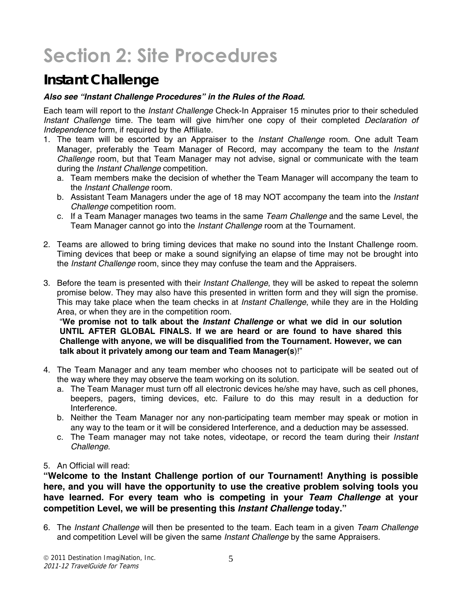## **Section 2: Site Procedures**

## *Instant Challenge*

#### *Also see "Instant Challenge Procedures" in the Rules of the Road.*

Each team will report to the *Instant Challenge* Check-In Appraiser 15 minutes prior to their scheduled *Instant Challenge* time. The team will give him/her one copy of their completed *Declaration of Independence* form, if required by the Affiliate.

- 1. The team will be escorted by an Appraiser to the *Instant Challenge* room. One adult Team Manager, preferably the Team Manager of Record, may accompany the team to the *Instant Challenge* room, but that Team Manager may not advise, signal or communicate with the team during the *Instant Challenge* competition.
	- a. Team members make the decision of whether the Team Manager will accompany the team to the *Instant Challenge* room.
	- b. Assistant Team Managers under the age of 18 may NOT accompany the team into the *Instant Challenge* competition room.
	- c. If a Team Manager manages two teams in the same *Team Challenge* and the same Level, the Team Manager cannot go into the *Instant Challenge* room at the Tournament.
- 2. Teams are allowed to bring timing devices that make no sound into the Instant Challenge room. Timing devices that beep or make a sound signifying an elapse of time may not be brought into the *Instant Challenge* room, since they may confuse the team and the Appraisers.
- 3. Before the team is presented with their *Instant Challenge*, they will be asked to repeat the solemn promise below. They may also have this presented in written form and they will sign the promise. This may take place when the team checks in at *Instant Challenge*, while they are in the Holding Area, or when they are in the competition room.

"**We promise not to talk about the** *Instant Challenge* **or what we did in our solution UNTIL AFTER GLOBAL FINALS. If we are heard or are found to have shared this Challenge with anyone, we will be disqualified from the Tournament. However, we can talk about it privately among our team and Team Manager(s**)!"

- 4. The Team Manager and any team member who chooses not to participate will be seated out of the way where they may observe the team working on its solution.
	- a. The Team Manager must turn off all electronic devices he/she may have, such as cell phones, beepers, pagers, timing devices, etc. Failure to do this may result in a deduction for Interference.
	- b. Neither the Team Manager nor any non-participating team member may speak or motion in any way to the team or it will be considered Interference, and a deduction may be assessed.
	- c. The Team manager may not take notes, videotape, or record the team during their *Instant Challenge*.
- 5. An Official will read:

**"Welcome to the Instant Challenge portion of our Tournament! Anything is possible here, and you will have the opportunity to use the creative problem solving tools you have learned. For every team who is competing in your** *Team Challenge* **at your competition Level, we will be presenting this** *Instant Challenge* **today."** 

6. The *Instant Challenge* will then be presented to the team. Each team in a given *Team Challenge* and competition Level will be given the same *Instant Challenge* by the same Appraisers.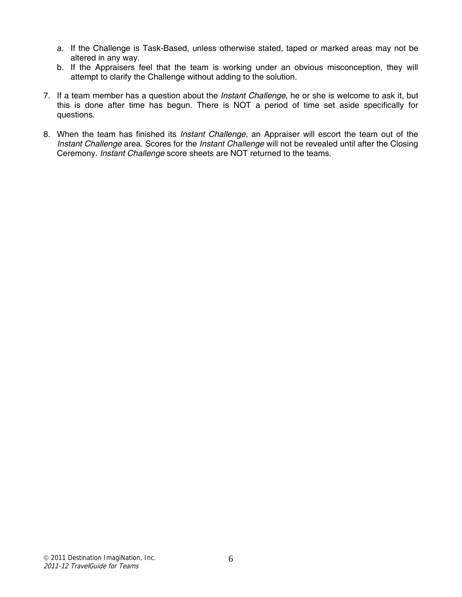- a. If the Challenge is Task-Based, unless otherwise stated, taped or marked areas may not be altered in any way.
- b. If the Appraisers feel that the team is working under an obvious misconception, they will attempt to clarify the Challenge without adding to the solution.
- 7. If a team member has a question about the *Instant Challenge*, he or she is welcome to ask it, but this is done after time has begun. There is NOT a period of time set aside specifically for questions.
- 8. When the team has finished its *Instant Challenge*, an Appraiser will escort the team out of the *Instant Challenge* area. Scores for the *Instant Challenge* will not be revealed until after the Closing Ceremony. *Instant Challenge* score sheets are NOT returned to the teams.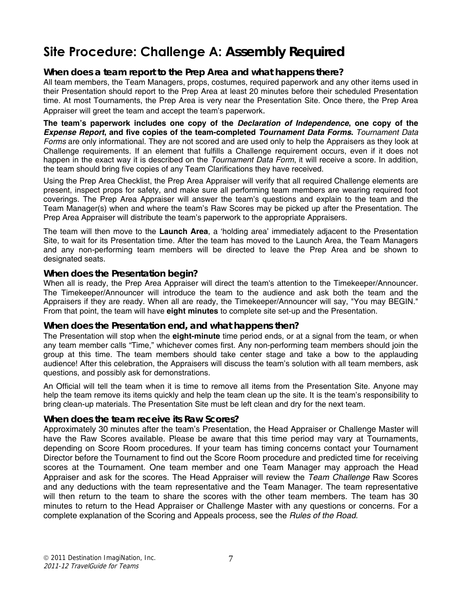## **Site Procedure: Challenge A:** *Assembly Required*

#### *When does a team report to the Prep Area and what happens there?*

All team members, the Team Managers, props, costumes, required paperwork and any other items used in their Presentation should report to the Prep Area at least 20 minutes before their scheduled Presentation time. At most Tournaments, the Prep Area is very near the Presentation Site. Once there, the Prep Area Appraiser will greet the team and accept the team's paperwork.

**The team's paperwork includes one copy of the** *Declaration of Independence***, one copy of the**  *Expense Report***, and five copies of the team-completed** *Tournament Data Forms***.** *Tournament Data Forms* are only informational. They are not scored and are used only to help the Appraisers as they look at Challenge requirements. If an element that fulfills a Challenge requirement occurs, even if it does not happen in the exact way it is described on the *Tournament Data Form*, it will receive a score. In addition, the team should bring five copies of any Team Clarifications they have received.

Using the Prep Area Checklist, the Prep Area Appraiser will verify that all required Challenge elements are present, inspect props for safety, and make sure all performing team members are wearing required foot coverings. The Prep Area Appraiser will answer the team's questions and explain to the team and the Team Manager(s) when and where the team's Raw Scores may be picked up after the Presentation. The Prep Area Appraiser will distribute the team's paperwork to the appropriate Appraisers.

The team will then move to the **Launch Area**, a 'holding area' immediately adjacent to the Presentation Site, to wait for its Presentation time. After the team has moved to the Launch Area, the Team Managers and any non-performing team members will be directed to leave the Prep Area and be shown to designated seats.

#### *When does the Presentation begin?*

When all is ready, the Prep Area Appraiser will direct the team's attention to the Timekeeper/Announcer. The Timekeeper/Announcer will introduce the team to the audience and ask both the team and the Appraisers if they are ready. When all are ready, the Timekeeper/Announcer will say, "You may BEGIN." From that point, the team will have **eight minutes** to complete site set-up and the Presentation.

#### *When does the Presentation end, and what happens then?*

The Presentation will stop when the **eight-minute** time period ends, or at a signal from the team, or when any team member calls "Time," whichever comes first. Any non-performing team members should join the group at this time. The team members should take center stage and take a bow to the applauding audience! After this celebration, the Appraisers will discuss the team's solution with all team members, ask questions, and possibly ask for demonstrations.

An Official will tell the team when it is time to remove all items from the Presentation Site. Anyone may help the team remove its items quickly and help the team clean up the site. It is the team's responsibility to bring clean-up materials. The Presentation Site must be left clean and dry for the next team.

#### *When does the team receive its Raw Scores?*

Approximately 30 minutes after the team's Presentation, the Head Appraiser or Challenge Master will have the Raw Scores available. Please be aware that this time period may vary at Tournaments, depending on Score Room procedures. If your team has timing concerns contact your Tournament Director before the Tournament to find out the Score Room procedure and predicted time for receiving scores at the Tournament. One team member and one Team Manager may approach the Head Appraiser and ask for the scores. The Head Appraiser will review the *Team Challenge* Raw Scores and any deductions with the team representative and the Team Manager. The team representative will then return to the team to share the scores with the other team members. The team has 30 minutes to return to the Head Appraiser or Challenge Master with any questions or concerns. For a complete explanation of the Scoring and Appeals process, see the *Rules of the Road.*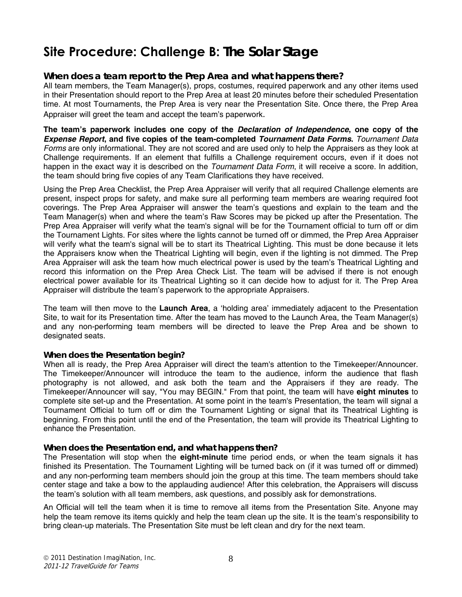## **Site Procedure: Challenge B:** *The Solar Stage*

#### *When does a team report to the Prep Area and what happens there?*

All team members, the Team Manager(s), props, costumes, required paperwork and any other items used in their Presentation should report to the Prep Area at least 20 minutes before their scheduled Presentation time. At most Tournaments, the Prep Area is very near the Presentation Site. Once there, the Prep Area Appraiser will greet the team and accept the team's paperwork.

**The team's paperwork includes one copy of the** *Declaration of Independence***, one copy of the**  *Expense Report***, and five copies of the team-completed** *Tournament Data Forms***.** *Tournament Data Forms* are only informational. They are not scored and are used only to help the Appraisers as they look at Challenge requirements. If an element that fulfills a Challenge requirement occurs, even if it does not happen in the exact way it is described on the *Tournament Data Form*, it will receive a score. In addition, the team should bring five copies of any Team Clarifications they have received.

Using the Prep Area Checklist, the Prep Area Appraiser will verify that all required Challenge elements are present, inspect props for safety, and make sure all performing team members are wearing required foot coverings. The Prep Area Appraiser will answer the team's questions and explain to the team and the Team Manager(s) when and where the team's Raw Scores may be picked up after the Presentation. The Prep Area Appraiser will verify what the team's signal will be for the Tournament official to turn off or dim the Tournament Lights. For sites where the lights cannot be turned off or dimmed, the Prep Area Appraiser will verify what the team's signal will be to start its Theatrical Lighting. This must be done because it lets the Appraisers know when the Theatrical Lighting will begin, even if the lighting is not dimmed. The Prep Area Appraiser will ask the team how much electrical power is used by the team's Theatrical Lighting and record this information on the Prep Area Check List. The team will be advised if there is not enough electrical power available for its Theatrical Lighting so it can decide how to adjust for it. The Prep Area Appraiser will distribute the team's paperwork to the appropriate Appraisers.

The team will then move to the **Launch Area**, a 'holding area' immediately adjacent to the Presentation Site, to wait for its Presentation time. After the team has moved to the Launch Area, the Team Manager(s) and any non-performing team members will be directed to leave the Prep Area and be shown to designated seats.

#### *When does the Presentation begin?*

When all is ready, the Prep Area Appraiser will direct the team's attention to the Timekeeper/Announcer. The Timekeeper/Announcer will introduce the team to the audience, inform the audience that flash photography is not allowed, and ask both the team and the Appraisers if they are ready. The Timekeeper/Announcer will say, "You may BEGIN." From that point, the team will have **eight minutes** to complete site set-up and the Presentation. At some point in the team's Presentation, the team will signal a Tournament Official to turn off or dim the Tournament Lighting or signal that its Theatrical Lighting is beginning. From this point until the end of the Presentation, the team will provide its Theatrical Lighting to enhance the Presentation.

#### *When does the Presentation end, and what happens then?*

The Presentation will stop when the **eight-minute** time period ends, or when the team signals it has finished its Presentation. The Tournament Lighting will be turned back on (if it was turned off or dimmed) and any non-performing team members should join the group at this time. The team members should take center stage and take a bow to the applauding audience! After this celebration, the Appraisers will discuss the team's solution with all team members, ask questions, and possibly ask for demonstrations.

An Official will tell the team when it is time to remove all items from the Presentation Site. Anyone may help the team remove its items quickly and help the team clean up the site. It is the team's responsibility to bring clean-up materials. The Presentation Site must be left clean and dry for the next team.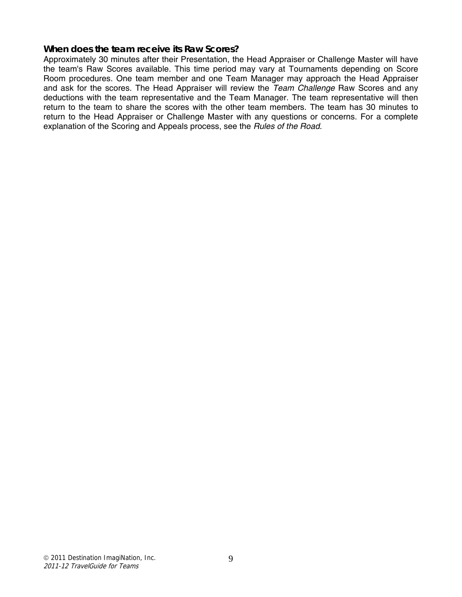#### *When does the team receive its Raw Scores?*

Approximately 30 minutes after their Presentation, the Head Appraiser or Challenge Master will have the team's Raw Scores available. This time period may vary at Tournaments depending on Score Room procedures. One team member and one Team Manager may approach the Head Appraiser and ask for the scores. The Head Appraiser will review the *Team Challenge* Raw Scores and any deductions with the team representative and the Team Manager. The team representative will then return to the team to share the scores with the other team members. The team has 30 minutes to return to the Head Appraiser or Challenge Master with any questions or concerns. For a complete explanation of the Scoring and Appeals process, see the *Rules of the Road.*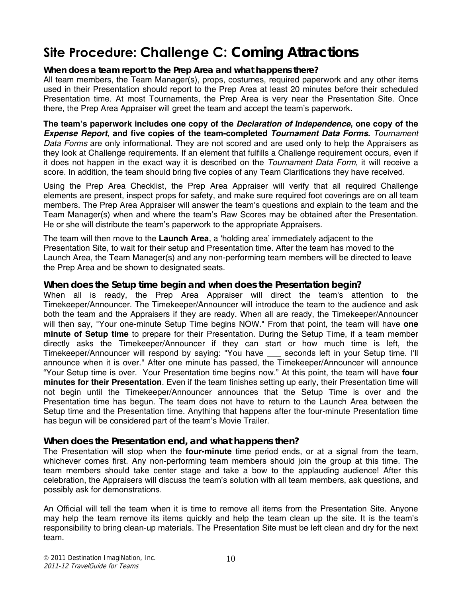## **Site Procedure: Challenge C:** *Coming Attractions*

#### *When does a team report to the Prep Area and what happens there?*

All team members, the Team Manager(s), props, costumes, required paperwork and any other items used in their Presentation should report to the Prep Area at least 20 minutes before their scheduled Presentation time. At most Tournaments, the Prep Area is very near the Presentation Site. Once there, the Prep Area Appraiser will greet the team and accept the team's paperwork.

**The team's paperwork includes one copy of the** *Declaration of Independence***, one copy of the**  *Expense Report***, and five copies of the team-completed** *Tournament Data Forms***.** *Tournament Data Forms* are only informational. They are not scored and are used only to help the Appraisers as they look at Challenge requirements. If an element that fulfills a Challenge requirement occurs, even if it does not happen in the exact way it is described on the *Tournament Data Form*, it will receive a score. In addition, the team should bring five copies of any Team Clarifications they have received.

Using the Prep Area Checklist, the Prep Area Appraiser will verify that all required Challenge elements are present, inspect props for safety, and make sure required foot coverings are on all team members. The Prep Area Appraiser will answer the team's questions and explain to the team and the Team Manager(s) when and where the team's Raw Scores may be obtained after the Presentation. He or she will distribute the team's paperwork to the appropriate Appraisers.

The team will then move to the **Launch Area**, a 'holding area' immediately adjacent to the Presentation Site, to wait for their setup and Presentation time. After the team has moved to the Launch Area, the Team Manager(s) and any non-performing team members will be directed to leave the Prep Area and be shown to designated seats.

#### *When does the Setup time begin and when does the Presentation begin?*

When all is ready, the Prep Area Appraiser will direct the team's attention to the Timekeeper/Announcer. The Timekeeper/Announcer will introduce the team to the audience and ask both the team and the Appraisers if they are ready. When all are ready, the Timekeeper/Announcer will then say, "Your one-minute Setup Time begins NOW." From that point, the team will have **one minute of Setup time** to prepare for their Presentation. During the Setup Time, if a team member directly asks the Timekeeper/Announcer if they can start or how much time is left, the Timekeeper/Announcer will respond by saying: "You have \_\_\_ seconds left in your Setup time. I'll announce when it is over." After one minute has passed, the Timekeeper/Announcer will announce "Your Setup time is over. Your Presentation time begins now." At this point, the team will have **four minutes for their Presentation**. Even if the team finishes setting up early, their Presentation time will not begin until the Timekeeper/Announcer announces that the Setup Time is over and the Presentation time has begun. The team does not have to return to the Launch Area between the Setup time and the Presentation time. Anything that happens after the four-minute Presentation time has begun will be considered part of the team's Movie Trailer.

#### *When does the Presentation end, and what happens then?*

The Presentation will stop when the **four-minute** time period ends, or at a signal from the team, whichever comes first. Any non-performing team members should join the group at this time. The team members should take center stage and take a bow to the applauding audience! After this celebration, the Appraisers will discuss the team's solution with all team members, ask questions, and possibly ask for demonstrations.

An Official will tell the team when it is time to remove all items from the Presentation Site. Anyone may help the team remove its items quickly and help the team clean up the site. It is the team's responsibility to bring clean-up materials. The Presentation Site must be left clean and dry for the next team.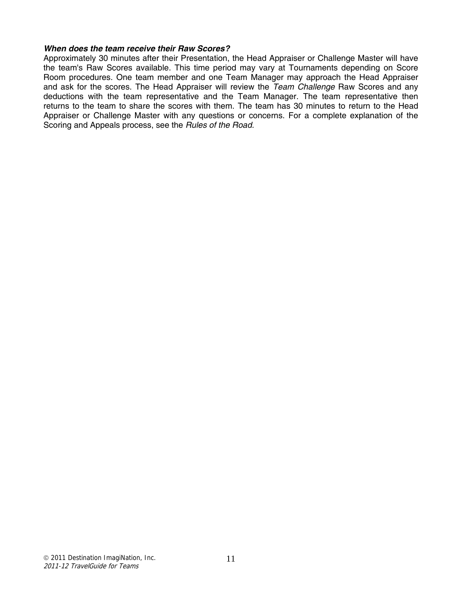#### *When does the team receive their Raw Scores?*

Approximately 30 minutes after their Presentation, the Head Appraiser or Challenge Master will have the team's Raw Scores available. This time period may vary at Tournaments depending on Score Room procedures. One team member and one Team Manager may approach the Head Appraiser and ask for the scores. The Head Appraiser will review the *Team Challenge* Raw Scores and any deductions with the team representative and the Team Manager. The team representative then returns to the team to share the scores with them. The team has 30 minutes to return to the Head Appraiser or Challenge Master with any questions or concerns. For a complete explanation of the Scoring and Appeals process, see the *Rules of the Road.*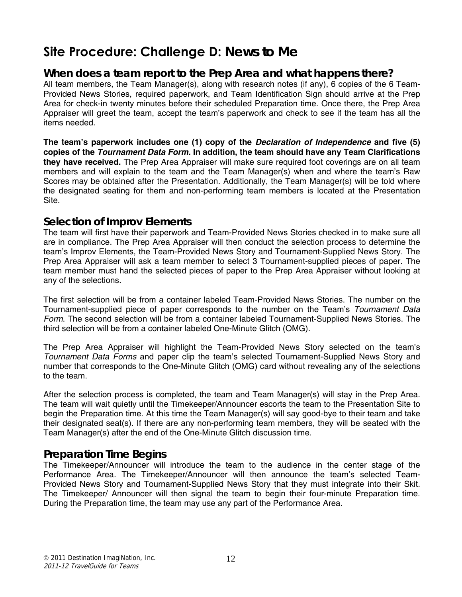### **Site Procedure: Challenge D:** *News to Me*

#### *When does a team report to the Prep Area and what happens there?*

All team members, the Team Manager(s), along with research notes (if any), 6 copies of the 6 Team-Provided News Stories, required paperwork, and Team Identification Sign should arrive at the Prep Area for check-in twenty minutes before their scheduled Preparation time. Once there, the Prep Area Appraiser will greet the team, accept the team's paperwork and check to see if the team has all the items needed.

**The team's paperwork includes one (1) copy of the** *Declaration of Independence* **and five (5) copies of the** *Tournament Data Form.* **In addition, the team should have any Team Clarifications they have received.** The Prep Area Appraiser will make sure required foot coverings are on all team members and will explain to the team and the Team Manager(s) when and where the team's Raw Scores may be obtained after the Presentation. Additionally, the Team Manager(s) will be told where the designated seating for them and non-performing team members is located at the Presentation Site.

#### *Selection of Improv Elements*

The team will first have their paperwork and Team-Provided News Stories checked in to make sure all are in compliance. The Prep Area Appraiser will then conduct the selection process to determine the team's Improv Elements, the Team-Provided News Story and Tournament-Supplied News Story. The Prep Area Appraiser will ask a team member to select 3 Tournament-supplied pieces of paper. The team member must hand the selected pieces of paper to the Prep Area Appraiser without looking at any of the selections.

The first selection will be from a container labeled Team-Provided News Stories. The number on the Tournament-supplied piece of paper corresponds to the number on the Team's *Tournament Data Form*. The second selection will be from a container labeled Tournament-Supplied News Stories. The third selection will be from a container labeled One-Minute Glitch (OMG).

The Prep Area Appraiser will highlight the Team-Provided News Story selected on the team's *Tournament Data Forms* and paper clip the team's selected Tournament-Supplied News Story and number that corresponds to the One-Minute Glitch (OMG) card without revealing any of the selections to the team.

After the selection process is completed, the team and Team Manager(s) will stay in the Prep Area. The team will wait quietly until the Timekeeper/Announcer escorts the team to the Presentation Site to begin the Preparation time. At this time the Team Manager(s) will say good-bye to their team and take their designated seat(s). If there are any non-performing team members, they will be seated with the Team Manager(s) after the end of the One-Minute Glitch discussion time.

#### *Preparation Time Begins*

The Timekeeper/Announcer will introduce the team to the audience in the center stage of the Performance Area. The Timekeeper/Announcer will then announce the team's selected Team-Provided News Story and Tournament-Supplied News Story that they must integrate into their Skit. The Timekeeper/ Announcer will then signal the team to begin their four-minute Preparation time. During the Preparation time, the team may use any part of the Performance Area.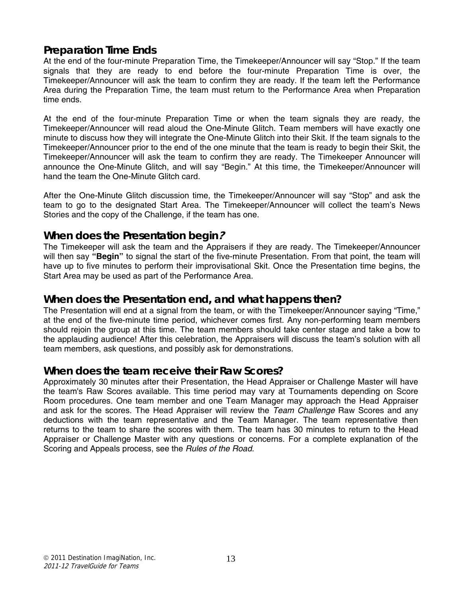#### *Preparation Time Ends*

At the end of the four-minute Preparation Time, the Timekeeper/Announcer will say "Stop." If the team signals that they are ready to end before the four-minute Preparation Time is over, the Timekeeper/Announcer will ask the team to confirm they are ready. If the team left the Performance Area during the Preparation Time, the team must return to the Performance Area when Preparation time ends.

At the end of the four-minute Preparation Time or when the team signals they are ready, the Timekeeper/Announcer will read aloud the One-Minute Glitch. Team members will have exactly one minute to discuss how they will integrate the One-Minute Glitch into their Skit. If the team signals to the Timekeeper/Announcer prior to the end of the one minute that the team is ready to begin their Skit, the Timekeeper/Announcer will ask the team to confirm they are ready. The Timekeeper Announcer will announce the One-Minute Glitch, and will say "Begin." At this time, the Timekeeper/Announcer will hand the team the One-Minute Glitch card.

After the One-Minute Glitch discussion time, the Timekeeper/Announcer will say "Stop" and ask the team to go to the designated Start Area. The Timekeeper/Announcer will collect the team's News Stories and the copy of the Challenge, if the team has one.

#### *When does the Presentation begin***?**

The Timekeeper will ask the team and the Appraisers if they are ready. The Timekeeper/Announcer will then say **"Begin"** to signal the start of the five-minute Presentation. From that point, the team will have up to five minutes to perform their improvisational Skit. Once the Presentation time begins, the Start Area may be used as part of the Performance Area.

#### *When does the Presentation end, and what happens then?*

The Presentation will end at a signal from the team, or with the Timekeeper/Announcer saying "Time," at the end of the five-minute time period, whichever comes first. Any non-performing team members should rejoin the group at this time. The team members should take center stage and take a bow to the applauding audience! After this celebration, the Appraisers will discuss the team's solution with all team members, ask questions, and possibly ask for demonstrations.

#### *When does the team receive their Raw Scores?*

Approximately 30 minutes after their Presentation, the Head Appraiser or Challenge Master will have the team's Raw Scores available. This time period may vary at Tournaments depending on Score Room procedures. One team member and one Team Manager may approach the Head Appraiser and ask for the scores. The Head Appraiser will review the *Team Challenge* Raw Scores and any deductions with the team representative and the Team Manager. The team representative then returns to the team to share the scores with them. The team has 30 minutes to return to the Head Appraiser or Challenge Master with any questions or concerns. For a complete explanation of the Scoring and Appeals process, see the *Rules of the Road.*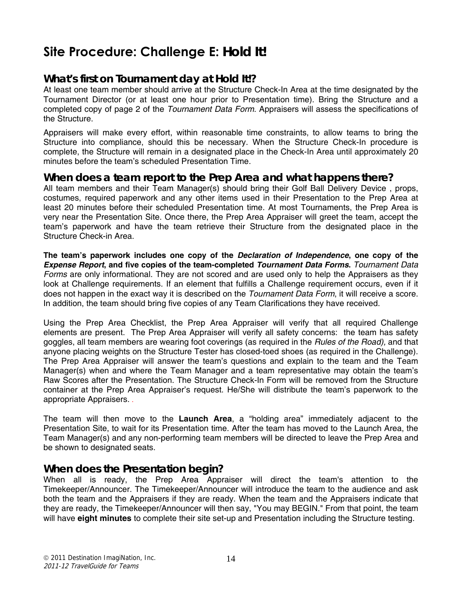## **Site Procedure: Challenge E:** *Hold It!*

#### *What's first on Tournament day at Hold It!?*

At least one team member should arrive at the Structure Check-In Area at the time designated by the Tournament Director (or at least one hour prior to Presentation time). Bring the Structure and a completed copy of page 2 of the *Tournament Data Form*. Appraisers will assess the specifications of the Structure.

Appraisers will make every effort, within reasonable time constraints, to allow teams to bring the Structure into compliance, should this be necessary. When the Structure Check-In procedure is complete, the Structure will remain in a designated place in the Check-In Area until approximately 20 minutes before the team's scheduled Presentation Time.

#### *When does a team report to the Prep Area and what happens there?*

All team members and their Team Manager(s) should bring their Golf Ball Delivery Device , props, costumes, required paperwork and any other items used in their Presentation to the Prep Area at least 20 minutes before their scheduled Presentation time. At most Tournaments, the Prep Area is very near the Presentation Site. Once there, the Prep Area Appraiser will greet the team, accept the team's paperwork and have the team retrieve their Structure from the designated place in the Structure Check-in Area.

**The team's paperwork includes one copy of the** *Declaration of Independence***, one copy of the**  *Expense Report***, and five copies of the team-completed** *Tournament Data Forms***.** *Tournament Data Forms* are only informational. They are not scored and are used only to help the Appraisers as they look at Challenge requirements. If an element that fulfills a Challenge requirement occurs, even if it does not happen in the exact way it is described on the *Tournament Data Form*, it will receive a score. In addition, the team should bring five copies of any Team Clarifications they have received.

Using the Prep Area Checklist, the Prep Area Appraiser will verify that all required Challenge elements are present. The Prep Area Appraiser will verify all safety concerns: the team has safety goggles, all team members are wearing foot coverings (as required in the *Rules of the Road),* and that anyone placing weights on the Structure Tester has closed-toed shoes (as required in the Challenge). The Prep Area Appraiser will answer the team's questions and explain to the team and the Team Manager(s) when and where the Team Manager and a team representative may obtain the team's Raw Scores after the Presentation. The Structure Check-In Form will be removed from the Structure container at the Prep Area Appraiser's request. He/She will distribute the team's paperwork to the appropriate Appraisers. .

The team will then move to the **Launch Area**, a "holding area" immediately adjacent to the Presentation Site, to wait for its Presentation time. After the team has moved to the Launch Area, the Team Manager(s) and any non-performing team members will be directed to leave the Prep Area and be shown to designated seats.

#### *When does the Presentation begin?*

When all is ready, the Prep Area Appraiser will direct the team's attention to the Timekeeper/Announcer. The Timekeeper/Announcer will introduce the team to the audience and ask both the team and the Appraisers if they are ready. When the team and the Appraisers indicate that they are ready, the Timekeeper/Announcer will then say, "You may BEGIN." From that point, the team will have **eight minutes** to complete their site set-up and Presentation including the Structure testing.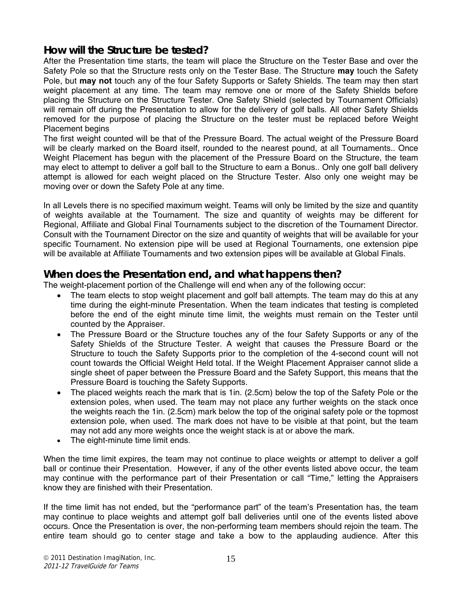#### *How will the Structure be tested?*

After the Presentation time starts, the team will place the Structure on the Tester Base and over the Safety Pole so that the Structure rests only on the Tester Base. The Structure **may** touch the Safety Pole, but **may not** touch any of the four Safety Supports or Safety Shields. The team may then start weight placement at any time. The team may remove one or more of the Safety Shields before placing the Structure on the Structure Tester. One Safety Shield (selected by Tournament Officials) will remain off during the Presentation to allow for the delivery of golf balls. All other Safety Shields removed for the purpose of placing the Structure on the tester must be replaced before Weight Placement begins

The first weight counted will be that of the Pressure Board. The actual weight of the Pressure Board will be clearly marked on the Board itself, rounded to the nearest pound, at all Tournaments.. Once Weight Placement has begun with the placement of the Pressure Board on the Structure, the team may elect to attempt to deliver a golf ball to the Structure to earn a Bonus.. Only one golf ball delivery attempt is allowed for each weight placed on the Structure Tester. Also only one weight may be moving over or down the Safety Pole at any time.

In all Levels there is no specified maximum weight. Teams will only be limited by the size and quantity of weights available at the Tournament. The size and quantity of weights may be different for Regional, Affiliate and Global Final Tournaments subject to the discretion of the Tournament Director. Consult with the Tournament Director on the size and quantity of weights that will be available for your specific Tournament. No extension pipe will be used at Regional Tournaments, one extension pipe will be available at Affiliate Tournaments and two extension pipes will be available at Global Finals.

#### *When does the Presentation end, and what happens then?*

The weight-placement portion of the Challenge will end when any of the following occur:

- The team elects to stop weight placement and golf ball attempts. The team may do this at any time during the eight-minute Presentation. When the team indicates that testing is completed before the end of the eight minute time limit, the weights must remain on the Tester until counted by the Appraiser.
- The Pressure Board or the Structure touches any of the four Safety Supports or any of the Safety Shields of the Structure Tester. A weight that causes the Pressure Board or the Structure to touch the Safety Supports prior to the completion of the 4-second count will not count towards the Official Weight Held total. If the Weight Placement Appraiser cannot slide a single sheet of paper between the Pressure Board and the Safety Support, this means that the Pressure Board is touching the Safety Supports.
- The placed weights reach the mark that is 1in. (2.5cm) below the top of the Safety Pole or the extension poles, when used. The team may not place any further weights on the stack once the weights reach the 1in. (2.5cm) mark below the top of the original safety pole or the topmost extension pole, when used. The mark does not have to be visible at that point, but the team may not add any more weights once the weight stack is at or above the mark.
- The eight-minute time limit ends.

When the time limit expires, the team may not continue to place weights or attempt to deliver a golf ball or continue their Presentation. However, if any of the other events listed above occur, the team may continue with the performance part of their Presentation or call "Time," letting the Appraisers know they are finished with their Presentation.

If the time limit has not ended, but the "performance part" of the team's Presentation has, the team may continue to place weights and attempt golf ball deliveries until one of the events listed above occurs. Once the Presentation is over, the non-performing team members should rejoin the team. The entire team should go to center stage and take a bow to the applauding audience. After this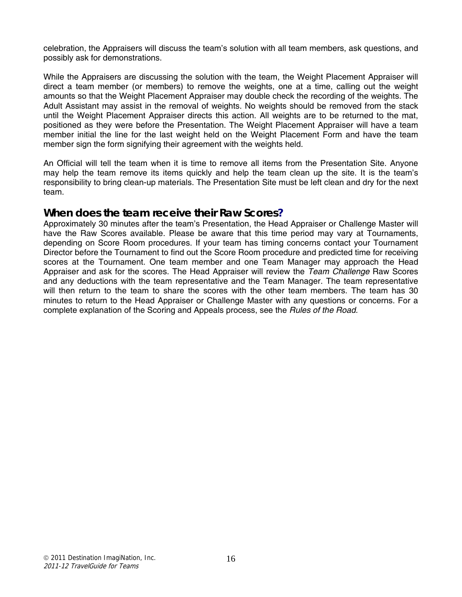celebration, the Appraisers will discuss the team's solution with all team members, ask questions, and possibly ask for demonstrations.

While the Appraisers are discussing the solution with the team, the Weight Placement Appraiser will direct a team member (or members) to remove the weights, one at a time, calling out the weight amounts so that the Weight Placement Appraiser may double check the recording of the weights. The Adult Assistant may assist in the removal of weights. No weights should be removed from the stack until the Weight Placement Appraiser directs this action. All weights are to be returned to the mat, positioned as they were before the Presentation. The Weight Placement Appraiser will have a team member initial the line for the last weight held on the Weight Placement Form and have the team member sign the form signifying their agreement with the weights held.

An Official will tell the team when it is time to remove all items from the Presentation Site. Anyone may help the team remove its items quickly and help the team clean up the site. It is the team's responsibility to bring clean-up materials. The Presentation Site must be left clean and dry for the next team.

#### *When does the team receive their Raw Scores?*

Approximately 30 minutes after the team's Presentation, the Head Appraiser or Challenge Master will have the Raw Scores available. Please be aware that this time period may vary at Tournaments, depending on Score Room procedures. If your team has timing concerns contact your Tournament Director before the Tournament to find out the Score Room procedure and predicted time for receiving scores at the Tournament. One team member and one Team Manager may approach the Head Appraiser and ask for the scores. The Head Appraiser will review the *Team Challenge* Raw Scores and any deductions with the team representative and the Team Manager. The team representative will then return to the team to share the scores with the other team members. The team has 30 minutes to return to the Head Appraiser or Challenge Master with any questions or concerns. For a complete explanation of the Scoring and Appeals process, see the *Rules of the Road.*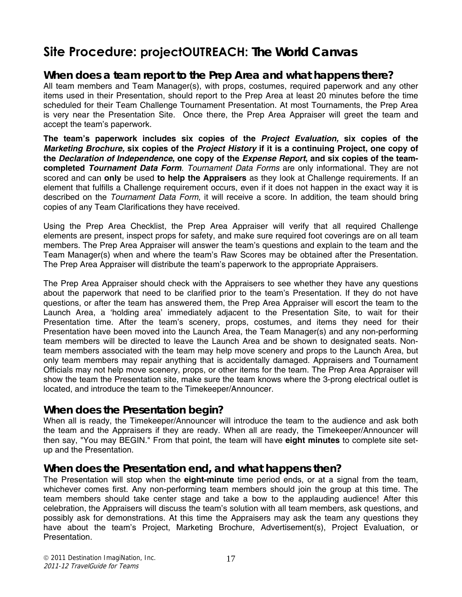### **Site Procedure: projectOUTREACH:** *The World Canvas*

#### *When does a team report to the Prep Area and what happens there?*

All team members and Team Manager(s), with props, costumes, required paperwork and any other items used in their Presentation, should report to the Prep Area at least 20 minutes before the time scheduled for their Team Challenge Tournament Presentation. At most Tournaments, the Prep Area is very near the Presentation Site. Once there, the Prep Area Appraiser will greet the team and accept the team's paperwork.

**The team's paperwork includes six copies of the** *Project Evaluation,* **six copies of the**  *Marketing Brochure,* **six copies of the** *Project History* **if it is a continuing Project, one copy of the** *Declaration of Independence***, one copy of the** *Expense Report***, and six copies of the teamcompleted** *Tournament Data Form*. *Tournament Data Forms* are only informational. They are not scored and can **only** be used **to help the Appraisers** as they look at Challenge requirements. If an element that fulfills a Challenge requirement occurs, even if it does not happen in the exact way it is described on the *Tournament Data Form*, it will receive a score. In addition, the team should bring copies of any Team Clarifications they have received.

Using the Prep Area Checklist, the Prep Area Appraiser will verify that all required Challenge elements are present, inspect props for safety, and make sure required foot coverings are on all team members. The Prep Area Appraiser will answer the team's questions and explain to the team and the Team Manager(s) when and where the team's Raw Scores may be obtained after the Presentation. The Prep Area Appraiser will distribute the team's paperwork to the appropriate Appraisers.

The Prep Area Appraiser should check with the Appraisers to see whether they have any questions about the paperwork that need to be clarified prior to the team's Presentation. If they do not have questions, or after the team has answered them, the Prep Area Appraiser will escort the team to the Launch Area, a 'holding area' immediately adjacent to the Presentation Site, to wait for their Presentation time. After the team's scenery, props, costumes, and items they need for their Presentation have been moved into the Launch Area, the Team Manager(s) and any non-performing team members will be directed to leave the Launch Area and be shown to designated seats. Nonteam members associated with the team may help move scenery and props to the Launch Area, but only team members may repair anything that is accidentally damaged. Appraisers and Tournament Officials may not help move scenery, props, or other items for the team. The Prep Area Appraiser will show the team the Presentation site, make sure the team knows where the 3-prong electrical outlet is located, and introduce the team to the Timekeeper/Announcer.

#### *When does the Presentation begin?*

When all is ready, the Timekeeper/Announcer will introduce the team to the audience and ask both the team and the Appraisers if they are ready. When all are ready, the Timekeeper/Announcer will then say, "You may BEGIN." From that point, the team will have **eight minutes** to complete site setup and the Presentation.

#### *When does the Presentation end, and what happens then?*

The Presentation will stop when the **eight-minute** time period ends, or at a signal from the team, whichever comes first. Any non-performing team members should join the group at this time. The team members should take center stage and take a bow to the applauding audience! After this celebration, the Appraisers will discuss the team's solution with all team members, ask questions, and possibly ask for demonstrations. At this time the Appraisers may ask the team any questions they have about the team's Project, Marketing Brochure, Advertisement(s), Project Evaluation, or Presentation.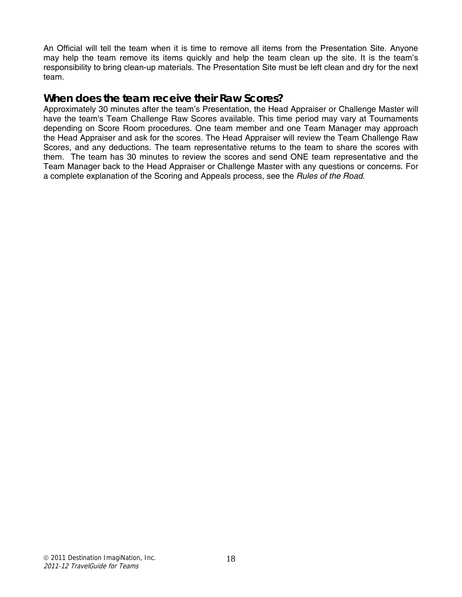An Official will tell the team when it is time to remove all items from the Presentation Site. Anyone may help the team remove its items quickly and help the team clean up the site. It is the team's responsibility to bring clean-up materials. The Presentation Site must be left clean and dry for the next team.

#### *When does the team receive their Raw Scores?*

Approximately 30 minutes after the team's Presentation, the Head Appraiser or Challenge Master will have the team's Team Challenge Raw Scores available. This time period may vary at Tournaments depending on Score Room procedures. One team member and one Team Manager may approach the Head Appraiser and ask for the scores. The Head Appraiser will review the Team Challenge Raw Scores, and any deductions. The team representative returns to the team to share the scores with them. The team has 30 minutes to review the scores and send ONE team representative and the Team Manager back to the Head Appraiser or Challenge Master with any questions or concerns. For a complete explanation of the Scoring and Appeals process, see the *Rules of the Road*.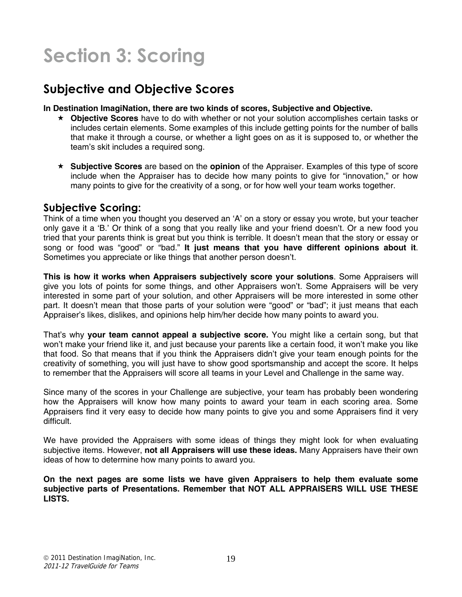## **Section 3: Scoring**

### **Subjective and Objective Scores**

#### **In Destination ImagiNation, there are two kinds of scores, Subjective and Objective.**

- **Objective Scores** have to do with whether or not your solution accomplishes certain tasks or includes certain elements. Some examples of this include getting points for the number of balls that make it through a course, or whether a light goes on as it is supposed to, or whether the team's skit includes a required song.
- **Subjective Scores** are based on the **opinion** of the Appraiser. Examples of this type of score include when the Appraiser has to decide how many points to give for "innovation," or how many points to give for the creativity of a song, or for how well your team works together.

#### **Subjective Scoring:**

Think of a time when you thought you deserved an 'A' on a story or essay you wrote, but your teacher only gave it a 'B.' Or think of a song that you really like and your friend doesn't. Or a new food you tried that your parents think is great but you think is terrible. It doesn't mean that the story or essay or song or food was "good" or "bad." **It just means that you have different opinions about it**. Sometimes you appreciate or like things that another person doesn't.

**This is how it works when Appraisers subjectively score your solutions**. Some Appraisers will give you lots of points for some things, and other Appraisers won't. Some Appraisers will be very interested in some part of your solution, and other Appraisers will be more interested in some other part. It doesn't mean that those parts of your solution were "good" or "bad"; it just means that each Appraiser's likes, dislikes, and opinions help him/her decide how many points to award you.

That's why **your team cannot appeal a subjective score.** You might like a certain song, but that won't make your friend like it, and just because your parents like a certain food, it won't make you like that food. So that means that if you think the Appraisers didn't give your team enough points for the creativity of something, you will just have to show good sportsmanship and accept the score. It helps to remember that the Appraisers will score all teams in your Level and Challenge in the same way.

Since many of the scores in your Challenge are subjective, your team has probably been wondering how the Appraisers will know how many points to award your team in each scoring area. Some Appraisers find it very easy to decide how many points to give you and some Appraisers find it very difficult.

We have provided the Appraisers with some ideas of things they might look for when evaluating subjective items. However, **not all Appraisers will use these ideas.** Many Appraisers have their own ideas of how to determine how many points to award you.

**On the next pages are some lists we have given Appraisers to help them evaluate some subjective parts of Presentations. Remember that NOT ALL APPRAISERS WILL USE THESE LISTS.**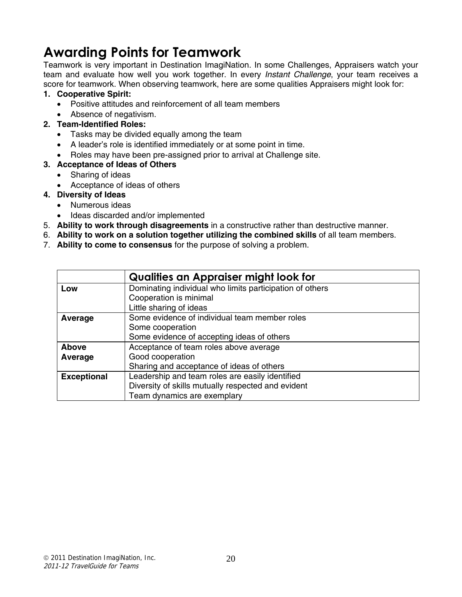## **Awarding Points for Teamwork**

Teamwork is very important in Destination ImagiNation. In some Challenges, Appraisers watch your team and evaluate how well you work together. In every *Instant Challenge*, your team receives a score for teamwork. When observing teamwork, here are some qualities Appraisers might look for:

#### **1. Cooperative Spirit:**

- Positive attitudes and reinforcement of all team members
- Absence of negativism.

#### **2. Team-Identified Roles:**

- Tasks may be divided equally among the team
- A leader's role is identified immediately or at some point in time.
- Roles may have been pre-assigned prior to arrival at Challenge site.
- **3. Acceptance of Ideas of Others** 
	- Sharing of ideas
	- Acceptance of ideas of others
- **4. Diversity of Ideas** 
	- Numerous ideas
	- Ideas discarded and/or implemented
- 5. **Ability to work through disagreements** in a constructive rather than destructive manner.
- 6. **Ability to work on a solution together utilizing the combined skills** of all team members.
- 7. **Ability to come to consensus** for the purpose of solving a problem.

|                    | <b>Qualities an Appraiser might look for</b>             |  |  |  |
|--------------------|----------------------------------------------------------|--|--|--|
| Low                | Dominating individual who limits participation of others |  |  |  |
|                    | Cooperation is minimal                                   |  |  |  |
|                    | Little sharing of ideas                                  |  |  |  |
| Average            | Some evidence of individual team member roles            |  |  |  |
|                    | Some cooperation                                         |  |  |  |
|                    | Some evidence of accepting ideas of others               |  |  |  |
| <b>Above</b>       | Acceptance of team roles above average                   |  |  |  |
| Average            | Good cooperation                                         |  |  |  |
|                    | Sharing and acceptance of ideas of others                |  |  |  |
| <b>Exceptional</b> | Leadership and team roles are easily identified          |  |  |  |
|                    | Diversity of skills mutually respected and evident       |  |  |  |
|                    | Team dynamics are exemplary                              |  |  |  |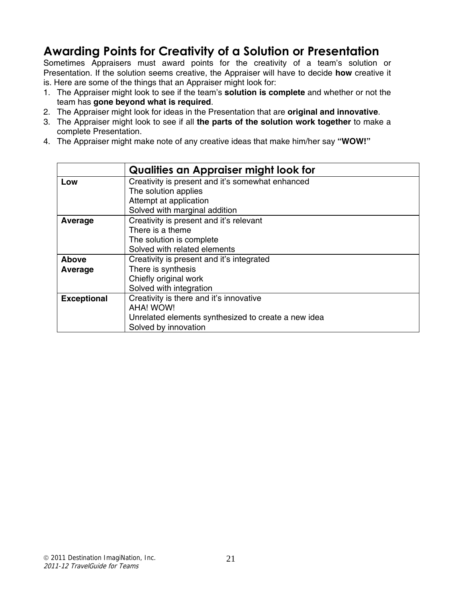### **Awarding Points for Creativity of a Solution or Presentation**

Sometimes Appraisers must award points for the creativity of a team's solution or Presentation. If the solution seems creative, the Appraiser will have to decide **how** creative it is. Here are some of the things that an Appraiser might look for:

- 1. The Appraiser might look to see if the team's **solution is complete** and whether or not the team has **gone beyond what is required**.
- 2. The Appraiser might look for ideas in the Presentation that are **original and innovative**.
- 3. The Appraiser might look to see if all **the parts of the solution work together** to make a complete Presentation.
- 4. The Appraiser might make note of any creative ideas that make him/her say **"WOW!"**

|                    | Qualities an Appraiser might look for               |  |  |  |
|--------------------|-----------------------------------------------------|--|--|--|
| Low                | Creativity is present and it's somewhat enhanced    |  |  |  |
|                    | The solution applies                                |  |  |  |
|                    | Attempt at application                              |  |  |  |
|                    | Solved with marginal addition                       |  |  |  |
| Average            | Creativity is present and it's relevant             |  |  |  |
|                    | There is a theme                                    |  |  |  |
|                    | The solution is complete                            |  |  |  |
|                    | Solved with related elements                        |  |  |  |
| <b>Above</b>       | Creativity is present and it's integrated           |  |  |  |
| Average            | There is synthesis                                  |  |  |  |
|                    | Chiefly original work                               |  |  |  |
|                    | Solved with integration                             |  |  |  |
| <b>Exceptional</b> | Creativity is there and it's innovative             |  |  |  |
|                    | <b>AHA! WOW!</b>                                    |  |  |  |
|                    | Unrelated elements synthesized to create a new idea |  |  |  |
|                    | Solved by innovation                                |  |  |  |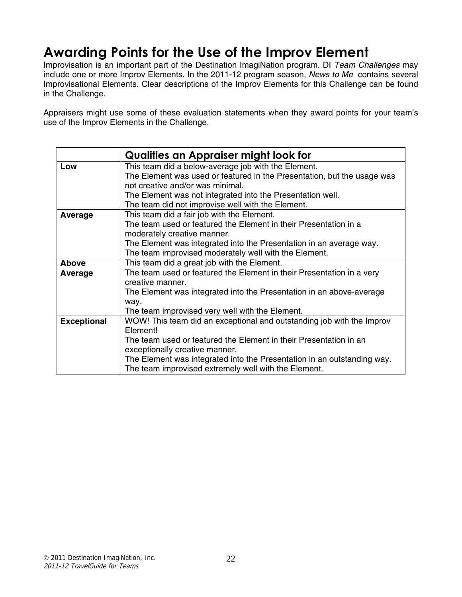## **Awarding Points for the Use of the Improv Element**

Improvisation is an important part of the Destination ImagiNation program. DI *Team Challenges* may include one or more Improv Elements. In the 2011-12 program season, *News to Me* contains several Improvisational Elements. Clear descriptions of the Improv Elements for this Challenge can be found in the Challenge.

Appraisers might use some of these evaluation statements when they award points for your team's use of the Improv Elements in the Challenge.

|                    | Qualities an Appraiser might look for                                   |  |  |  |
|--------------------|-------------------------------------------------------------------------|--|--|--|
| Low                | This team did a below-average job with the Element.                     |  |  |  |
|                    | The Element was used or featured in the Presentation, but the usage was |  |  |  |
|                    | not creative and/or was minimal.                                        |  |  |  |
|                    | The Element was not integrated into the Presentation well.              |  |  |  |
|                    | The team did not improvise well with the Element.                       |  |  |  |
| Average            | This team did a fair job with the Element.                              |  |  |  |
|                    | The team used or featured the Element in their Presentation in a        |  |  |  |
|                    | moderately creative manner.                                             |  |  |  |
|                    | The Element was integrated into the Presentation in an average way.     |  |  |  |
|                    | The team improvised moderately well with the Element.                   |  |  |  |
| <b>Above</b>       | This team did a great job with the Element.                             |  |  |  |
| Average            | The team used or featured the Element in their Presentation in a very   |  |  |  |
|                    | creative manner.                                                        |  |  |  |
|                    | The Element was integrated into the Presentation in an above-average    |  |  |  |
|                    | way.                                                                    |  |  |  |
|                    | The team improvised very well with the Element.                         |  |  |  |
| <b>Exceptional</b> | WOW! This team did an exceptional and outstanding job with the Improv   |  |  |  |
|                    | Element!                                                                |  |  |  |
|                    | The team used or featured the Element in their Presentation in an       |  |  |  |
|                    | exceptionally creative manner.                                          |  |  |  |
|                    | The Element was integrated into the Presentation in an outstanding way. |  |  |  |
|                    | The team improvised extremely well with the Element.                    |  |  |  |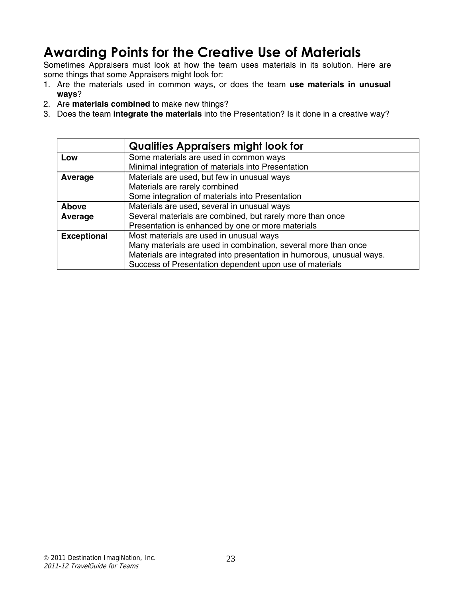## **Awarding Points for the Creative Use of Materials**

Sometimes Appraisers must look at how the team uses materials in its solution. Here are some things that some Appraisers might look for:

- 1. Are the materials used in common ways, or does the team **use materials in unusual ways**?
- 2. Are **materials combined** to make new things?
- 3. Does the team **integrate the materials** into the Presentation? Is it done in a creative way?

|                    | <b>Qualities Appraisers might look for</b>                            |  |  |
|--------------------|-----------------------------------------------------------------------|--|--|
| Low                | Some materials are used in common ways                                |  |  |
|                    | Minimal integration of materials into Presentation                    |  |  |
| Average            | Materials are used, but few in unusual ways                           |  |  |
|                    | Materials are rarely combined                                         |  |  |
|                    | Some integration of materials into Presentation                       |  |  |
| Above              | Materials are used, several in unusual ways                           |  |  |
| Average            | Several materials are combined, but rarely more than once             |  |  |
|                    | Presentation is enhanced by one or more materials                     |  |  |
| <b>Exceptional</b> | Most materials are used in unusual ways                               |  |  |
|                    | Many materials are used in combination, several more than once        |  |  |
|                    | Materials are integrated into presentation in humorous, unusual ways. |  |  |
|                    | Success of Presentation dependent upon use of materials               |  |  |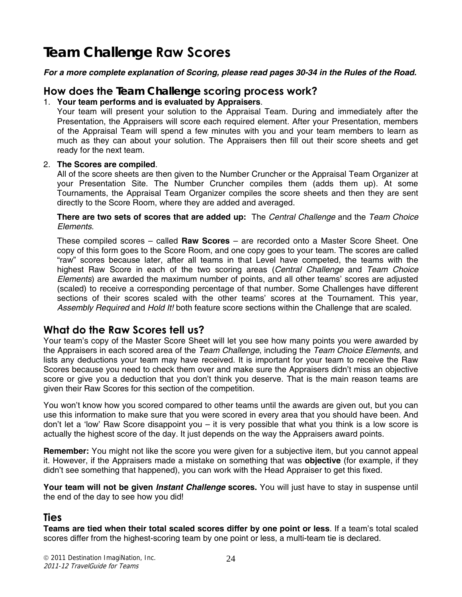## *Team Challenge* **Raw Scores**

*For a more complete explanation of Scoring, please read pages 30-34 in the Rules of the Road.* 

#### **How does the** *Team Challenge* **scoring process work?**

#### 1. **Your team performs and is evaluated by Appraisers**.

Your team will present your solution to the Appraisal Team. During and immediately after the Presentation, the Appraisers will score each required element. After your Presentation, members of the Appraisal Team will spend a few minutes with you and your team members to learn as much as they can about your solution. The Appraisers then fill out their score sheets and get ready for the next team.

#### 2. **The Scores are compiled**.

All of the score sheets are then given to the Number Cruncher or the Appraisal Team Organizer at your Presentation Site. The Number Cruncher compiles them (adds them up). At some Tournaments, the Appraisal Team Organizer compiles the score sheets and then they are sent directly to the Score Room, where they are added and averaged.

**There are two sets of scores that are added up:** The *Central Challenge* and the *Team Choice Elements*.

These compiled scores – called **Raw Scores** – are recorded onto a Master Score Sheet. One copy of this form goes to the Score Room, and one copy goes to your team. The scores are called "raw" scores because later, after all teams in that Level have competed, the teams with the highest Raw Score in each of the two scoring areas (*Central Challenge* and *Team Choice Elements*) are awarded the maximum number of points, and all other teams' scores are adjusted (scaled) to receive a corresponding percentage of that number. Some Challenges have different sections of their scores scaled with the other teams' scores at the Tournament. This year, *Assembly Required* and *Hold It!* both feature score sections within the Challenge that are scaled.

#### **What do the Raw Scores tell us?**

Your team's copy of the Master Score Sheet will let you see how many points you were awarded by the Appraisers in each scored area of the *Team Challenge*, including the *Team Choice Elements,* and lists any deductions your team may have received. It is important for your team to receive the Raw Scores because you need to check them over and make sure the Appraisers didn't miss an objective score or give you a deduction that you don't think you deserve. That is the main reason teams are given their Raw Scores for this section of the competition.

You won't know how you scored compared to other teams until the awards are given out, but you can use this information to make sure that you were scored in every area that you should have been. And don't let a 'low' Raw Score disappoint you – it is very possible that what you think is a low score is actually the highest score of the day. It just depends on the way the Appraisers award points.

**Remember:** You might not like the score you were given for a subjective item, but you cannot appeal it. However, if the Appraisers made a mistake on something that was **objective** (for example, if they didn't see something that happened), you can work with the Head Appraiser to get this fixed.

**Your team will not be given** *Instant Challenge* **scores.** You will just have to stay in suspense until the end of the day to see how you did!

#### **Ties**

**Teams are tied when their total scaled scores differ by one point or less**. If a team's total scaled scores differ from the highest-scoring team by one point or less, a multi-team tie is declared.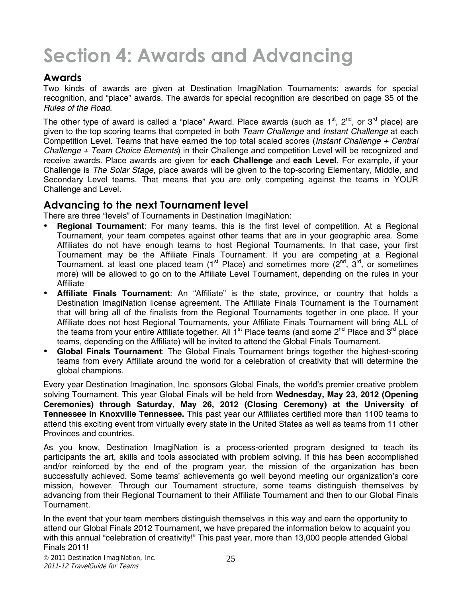## **Section 4: Awards and Advancing**

#### **Awards**

Two kinds of awards are given at Destination ImagiNation Tournaments: awards for special recognition, and "place" awards. The awards for special recognition are described on page 35 of the *Rules of the Road*.

The other type of award is called a "place" Award. Place awards (such as  $1<sup>st</sup>$ ,  $2<sup>nd</sup>$ , or  $3<sup>rd</sup>$  place) are given to the top scoring teams that competed in both *Team Challenge* and *Instant Challenge* at each Competition Level. Teams that have earned the top total scaled scores (*Instant Challenge + Central Challenge + Team Choice Elements*) in their Challenge and competition Level will be recognized and receive awards. Place awards are given for **each Challenge** and **each Level**. For example, if your Challenge is *The Solar Stage*, place awards will be given to the top-scoring Elementary, Middle, and Secondary Level teams. That means that you are only competing against the teams in YOUR Challenge and Level.

#### **Advancing to the next Tournament level**

There are three "levels" of Tournaments in Destination ImagiNation:

- **Regional Tournament**: For many teams, this is the first level of competition. At a Regional Tournament, your team competes against other teams that are in your geographic area. Some Affiliates do not have enough teams to host Regional Tournaments. In that case, your first Tournament may be the Affiliate Finals Tournament. If you are competing at a Regional Tournament, at least one placed team ( $1<sup>st</sup>$  Place) and sometimes more ( $2<sup>nd</sup>$ ,  $3<sup>rd</sup>$ , or sometimes more) will be allowed to go on to the Affiliate Level Tournament, depending on the rules in your Affiliate
- **Affiliate Finals Tournament**: An "Affiliate" is the state, province, or country that holds a Destination ImagiNation license agreement. The Affiliate Finals Tournament is the Tournament that will bring all of the finalists from the Regional Tournaments together in one place. If your Affiliate does not host Regional Tournaments, your Affiliate Finals Tournament will bring ALL of the teams from your entire Affiliate together. All  $1<sup>st</sup>$  Place teams (and some  $2<sup>nd</sup>$  Place and  $3<sup>rd</sup>$  place teams, depending on the Affiliate) will be invited to attend the Global Finals Tournament.
- **Global Finals Tournament**: The Global Finals Tournament brings together the highest-scoring teams from every Affiliate around the world for a celebration of creativity that will determine the global champions.

Every year Destination Imagination, Inc. sponsors Global Finals, the world's premier creative problem solving Tournament. This year Global Finals will be held from **Wednesday, May 23, 2012 (Opening Ceremonies) through Saturday, May 26, 2012 (Closing Ceremony) at the University of Tennessee in Knoxville Tennessee.** This past year our Affiliates certified more than 1100 teams to attend this exciting event from virtually every state in the United States as well as teams from 11 other Provinces and countries.

As you know, Destination ImagiNation is a process-oriented program designed to teach its participants the art, skills and tools associated with problem solving. If this has been accomplished and/or reinforced by the end of the program year, the mission of the organization has been successfully achieved. Some teams' achievements go well beyond meeting our organization's core mission, however. Through our Tournament structure, some teams distinguish themselves by advancing from their Regional Tournament to their Affiliate Tournament and then to our Global Finals Tournament.

In the event that your team members distinguish themselves in this way and earn the opportunity to attend our Global Finals 2012 Tournament, we have prepared the information below to acquaint you with this annual "celebration of creativity!" This past year, more than 13,000 people attended Global Finals 2011!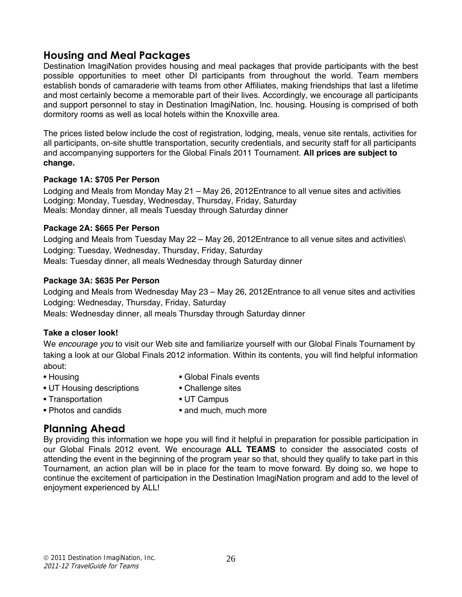#### **Housing and Meal Packages**

Destination ImagiNation provides housing and meal packages that provide participants with the best possible opportunities to meet other DI participants from throughout the world. Team members establish bonds of camaraderie with teams from other Affiliates, making friendships that last a lifetime and most certainly become a memorable part of their lives. Accordingly, we encourage all participants and support personnel to stay in Destination ImagiNation, Inc. housing. Housing is comprised of both dormitory rooms as well as local hotels within the Knoxville area.

The prices listed below include the cost of registration, lodging, meals, venue site rentals, activities for all participants, on-site shuttle transportation, security credentials, and security staff for all participants and accompanying supporters for the Global Finals 2011 Tournament. **All prices are subject to change.** 

#### **Package 1A: \$705 Per Person**

Lodging and Meals from Monday May 21 – May 26, 2012Entrance to all venue sites and activities Lodging: Monday, Tuesday, Wednesday, Thursday, Friday, Saturday Meals: Monday dinner, all meals Tuesday through Saturday dinner

#### **Package 2A: \$665 Per Person**

Lodging and Meals from Tuesday May 22 – May 26, 2012Entrance to all venue sites and activities\ Lodging: Tuesday, Wednesday, Thursday, Friday, Saturday Meals: Tuesday dinner, all meals Wednesday through Saturday dinner

#### **Package 3A: \$635 Per Person**

Lodging and Meals from Wednesday May 23 – May 26, 2012Entrance to all venue sites and activities Lodging: Wednesday, Thursday, Friday, Saturday Meals: Wednesday dinner, all meals Thursday through Saturday dinner

#### **Take a closer look!**

We *encourage you* to visit our Web site and familiarize yourself with our Global Finals Tournament by taking a look at our Global Finals 2012 information. Within its contents, you will find helpful information about:

- 
- Housing  **Global Finals events**
- UT Housing descriptions Challenge sites
	-
- Transportation UT Campus
- 
- Photos and candids and much, much more
- 

#### **Planning Ahead**

By providing this information we hope you will find it helpful in preparation for possible participation in our Global Finals 2012 event. We encourage **ALL TEAMS** to consider the associated costs of attending the event in the beginning of the program year so that, should they qualify to take part in this Tournament, an action plan will be in place for the team to move forward. By doing so, we hope to continue the excitement of participation in the Destination ImagiNation program and add to the level of enjoyment experienced by ALL!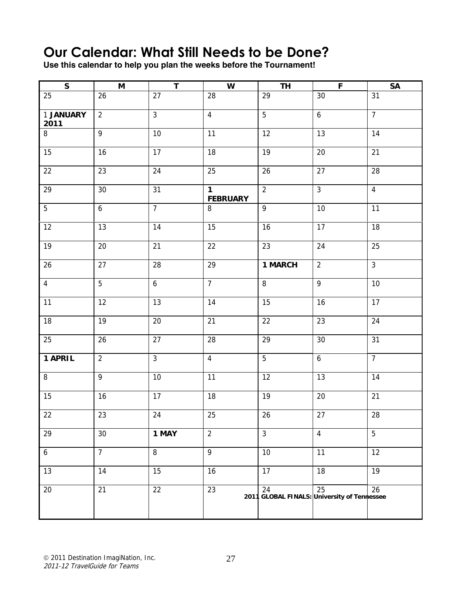## **Our Calendar: What Still Needs to be Done?**

**Use this calendar to help you plan the weeks before the Tournament!** 

| $\mathsf{s}$      | M              | $\mathsf T$      | W                              | <b>TH</b>                                         | $\mathsf F$      | SA             |
|-------------------|----------------|------------------|--------------------------------|---------------------------------------------------|------------------|----------------|
| 25                | 26             | 27               | 28                             | 29                                                | 30               | 31             |
| 1 JANUARY<br>2011 | $\overline{2}$ | $\mathfrak{Z}$   | $\overline{4}$                 | 5                                                 | $\boldsymbol{6}$ | $\overline{7}$ |
| $\, 8$            | $\overline{9}$ | $10$             | 11                             | 12                                                | 13               | 14             |
| 15                | 16             | 17               | 18                             | 19                                                | 20               | 21             |
| $22\,$            | 23             | 24               | 25                             | 26                                                | 27               | 28             |
| 29                | 30             | 31               | $\mathbf 1$<br><b>FEBRUARY</b> | $\overline{2}$                                    | $\overline{3}$   | $\overline{4}$ |
| $\overline{5}$    | 6              | $\overline{7}$   | 8                              | 9                                                 | 10               | 11             |
| 12                | 13             | 14               | 15                             | 16                                                | 17               | 18             |
| 19                | 20             | 21               | 22                             | 23                                                | 24               | 25             |
| 26                | 27             | 28               | 29                             | 1 MARCH                                           | $\overline{2}$   | $\overline{3}$ |
| $\overline{4}$    | 5              | $\boldsymbol{6}$ | $\overline{7}$                 | 8                                                 | 9                | 10             |
| 11                | 12             | 13               | 14                             | 15                                                | 16               | 17             |
| 18                | 19             | 20               | 21                             | 22                                                | 23               | 24             |
| 25                | 26             | 27               | 28                             | 29                                                | $30\,$           | 31             |
| 1 APRIL           | $\overline{2}$ | $\mathfrak{Z}$   | $\overline{4}$                 | $\overline{5}$                                    | $\boldsymbol{6}$ | $\overline{7}$ |
| $\, 8$            | 9              | $10\,$           | 11                             | 12                                                | 13               | 14             |
| 15                | 16             | 17               | 18                             | 19                                                | 20               | 21             |
| $\overline{22}$   | 23             | 24               | 25                             | $26\,$                                            | 27               | 28             |
| 29                | 30             | 1 MAY            | $\overline{2}$                 | $\mathbf{3}$                                      | $\overline{4}$   | 5              |
| $\boldsymbol{6}$  | $\overline{7}$ | 8                | 9                              | 10                                                | 11               | 12             |
| 13                | 14             | 15               | 16                             | 17                                                | 18               | 19             |
| 20                | 21             | 22               | 23                             | 24<br>2011 GLOBAL FINALS: University of Tennessee | 25               | 26             |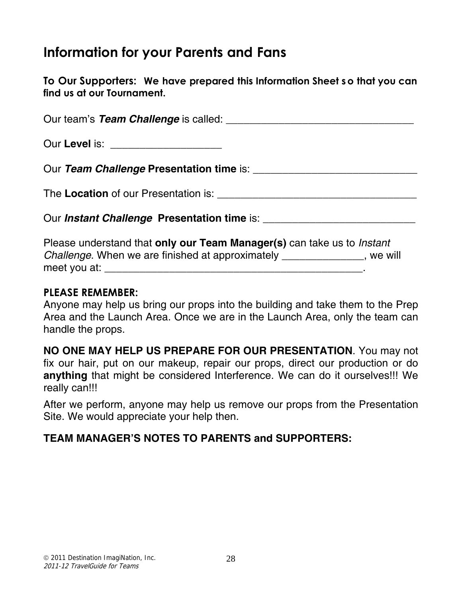## **Information for your Parents and Fans**

**To Our Supporters: We have prepared this Information Sheet s o that you can find us at our Tournament.**

| Our Level is: _____________________                |
|----------------------------------------------------|
|                                                    |
|                                                    |
| Our <i>Instant Challenge</i> Presentation time is: |

Please understand that **only our Team Manager(s)** can take us to *Instant Challenge*. When we are finished at approximately \_\_\_\_\_\_\_\_\_\_\_\_\_\_, we will meet you at: \_\_\_\_\_\_\_\_\_\_\_\_\_\_\_\_\_\_\_\_\_\_\_\_\_\_\_\_\_\_\_\_\_\_\_\_\_\_\_\_\_\_\_\_.

#### **PLEASE REMEMBER:**

Anyone may help us bring our props into the building and take them to the Prep Area and the Launch Area. Once we are in the Launch Area, only the team can handle the props.

**NO ONE MAY HELP US PREPARE FOR OUR PRESENTATION**. You may not fix our hair, put on our makeup, repair our props, direct our production or do **anything** that might be considered Interference. We can do it ourselves!!! We really can!!!

After we perform, anyone may help us remove our props from the Presentation Site. We would appreciate your help then.

#### **TEAM MANAGER'S NOTES TO PARENTS and SUPPORTERS:**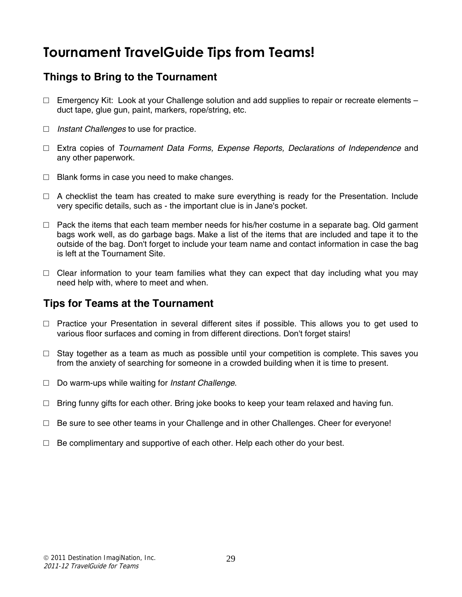## **Tournament TravelGuide Tips from Teams!**

#### **Things to Bring to the Tournament**

- $\Box$  Emergency Kit: Look at your Challenge solution and add supplies to repair or recreate elements duct tape, glue gun, paint, markers, rope/string, etc.
- □ *Instant Challenges* to use for practice.
- □ Extra copies of *Tournament Data Forms, Expense Reports, Declarations of Independence* and any other paperwork.
- $\Box$  Blank forms in case you need to make changes.
- $\Box$  A checklist the team has created to make sure everything is ready for the Presentation. Include very specific details, such as - the important clue is in Jane's pocket.
- $\Box$  Pack the items that each team member needs for his/her costume in a separate bag. Old garment bags work well, as do garbage bags. Make a list of the items that are included and tape it to the outside of the bag. Don't forget to include your team name and contact information in case the bag is left at the Tournament Site.
- $\Box$  Clear information to your team families what they can expect that day including what you may need help with, where to meet and when.

#### **Tips for Teams at the Tournament**

- $\Box$  Practice your Presentation in several different sites if possible. This allows you to get used to various floor surfaces and coming in from different directions. Don't forget stairs!
- $\Box$  Stay together as a team as much as possible until your competition is complete. This saves you from the anxiety of searching for someone in a crowded building when it is time to present.
- □ Do warm-ups while waiting for *Instant Challenge*.
- $\Box$  Bring funny gifts for each other. Bring joke books to keep your team relaxed and having fun.
- $\Box$  Be sure to see other teams in your Challenge and in other Challenges. Cheer for everyone!
- $\Box$  Be complimentary and supportive of each other. Help each other do your best.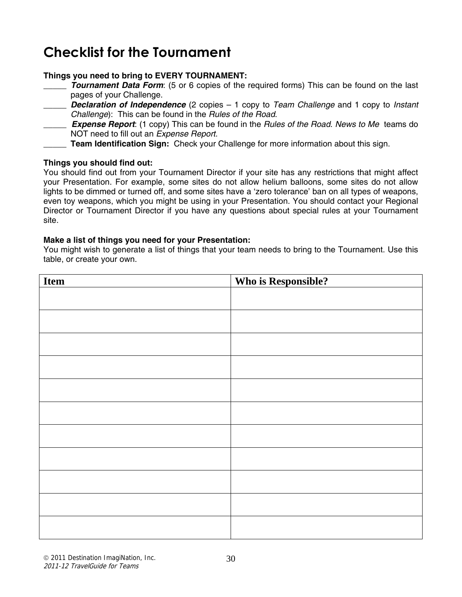## **Checklist for the Tournament**

#### **Things you need to bring to EVERY TOURNAMENT:**

- \_\_\_\_\_ *Tournament Data Form*: (5 or 6 copies of the required forms) This can be found on the last pages of your Challenge.
- \_\_\_\_\_ *Declaration of Independence* (2 copies 1 copy to *Team Challenge* and 1 copy to *Instant Challenge*): This can be found in the *Rules of the Road*.
- \_\_\_\_\_ *Expense Report*: (1 copy) This can be found in the *Rules of the Road*. *News to Me* teams do NOT need to fill out an *Expense Report*.
- **Team Identification Sign:** Check your Challenge for more information about this sign.

#### **Things you should find out:**

You should find out from your Tournament Director if your site has any restrictions that might affect your Presentation. For example, some sites do not allow helium balloons, some sites do not allow lights to be dimmed or turned off, and some sites have a 'zero tolerance' ban on all types of weapons, even toy weapons, which you might be using in your Presentation. You should contact your Regional Director or Tournament Director if you have any questions about special rules at your Tournament site.

#### **Make a list of things you need for your Presentation:**

You might wish to generate a list of things that your team needs to bring to the Tournament. Use this table, or create your own.

| Item | <b>Who is Responsible?</b> |
|------|----------------------------|
|      |                            |
|      |                            |
|      |                            |
|      |                            |
|      |                            |
|      |                            |
|      |                            |
|      |                            |
|      |                            |
|      |                            |
|      |                            |
|      |                            |